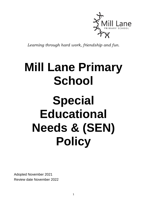

*Learning through hard work, friendship and fun.*

## **Mill Lane Primary School**

# **Special Educational Needs & (SEN) Policy**

Adopted November 2021 Review date November 2022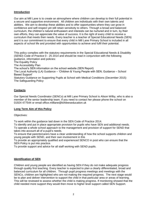## **Introduction**

Our aim at Mill Lane is to create an atmosphere where children can develop to their full potential in a secure and supportive environment. All children are individuals with their own talents and abilities. We aim to develop these abilities and to offer opportunities where they can grow in confidence and self-respect yet still retain sensitivity to others. Through a broad and balanced curriculum, the children's natural enthusiasm and interests can be nurtured and in turn, by their own efforts, they can appreciate the value of success. It is the right of every child to receive a curriculum that meets their needs. Every teacher is a teacher of Special Educational Needs (SEN) and it is our commitment to ensure that every child in Mill Lane Primary School is included in all aspects of school life and provided with opportunities to achieve and fulfil their potential.

This policy complies with the statutory requirements in the Special Educational Needs & Disability (SEND) Code of Practice 0 - 25 2014 and should be read in conjunction with the following guidance, information and policies:

The Equality Policy

The Accessibility Plan

The school's SEN information on the school website (SEN Report)

The Local Authority (LA) Guidance – 'Children & Young People with SEN; Guidance – School Based Support'

Statutory Guidance on Supporting Pupils at School with Medical Conditions (December 2015) The Safeguarding Policy

#### **Contacts**

Our Special Needs Coordinator (SENCo) at Mill Lane Primary School is Alison Wilby, who is also a member of the senior leadership team. If you need to contact her please phone the school on 01924 477544 or email office.milllane@kirkleeseducation.uk

#### **Long Term Aim of this Policy**

Objectives:

To work within the guidance laid down in the SEN Code of Practice 2014.

To identify and put in place appropriate provision for pupils who have SEN and additional needs. To operate a whole school approach to the management and provision of support for SEND that takes into account all of a pupil's needs.

To ensure that parents/carers have a clear understanding of how the school supports children and young people with SEND, and their own involvement in this

To provide an appropriately qualified and experienced SENCO in post who can ensure that the SEN Policy is put into practice.

To provide support and advice for all staff working with SEND pupils.

#### **Identification of SEN**

Children and young people are identified as having SEN if they do not make adequate progress through quality first teaching. Every teacher is expected to plan a clearly differentiated, broad and balanced curriculum for all children. Through pupil progress meetings and meetings with the SENCo, children are highlighted who are not making the required progress. The next stage would be to plan and deliver intervention to support the child in that particular area or areas of learning. This will be reviewed to assess whether the child is making progress. If monitoring showed that the child needed more support they would then move to higher level support called SEN Support.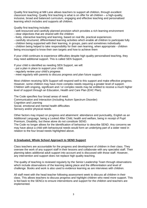Quality first teaching at Mill Lane allows teachers to support all children, through excellent classroom teaching. Quality first teaching is what is on offer for all children – a high-quality, inclusive, broad and balanced curriculum, engaging and effective teaching and personalised learning which includes and supports all children.

Quality first teaching includes:

- well-resourced and carefully planned provision which provides a rich learning environment
- clear objectives that are shared with the children
- lively, interactive teaching and learning, based on real life, practical experiences
- carefully structured, differentiated learning activities which enable all children to participate fully
- children being supported with their learning, in groups, pairs and sometimes individually

- children being helped to take responsibility for their own learning, when appropriate - children being encouraged to know their own targets and how to achieve them

If your child continues to experience difficulties despite high quality personalised teaching, they may need additional support. This is called SEN Support.

If your child is identified as needing SEN Support, we will:

- put a plan in place to support your child.
- regularly review your child's progress
- meet regularly with parents to discuss progress and plan future support.

Most children receiving SEN Support will respond well to this support and make effective progress. However, some children may have more complex needs requiring a greater level of support. Children with ongoing, significant and / or complex needs may be entitled to receive a much higher level of support through an Education, Health and Care Plan (EHC Plan).

The Code specifies four broad areas of need: Communication and Interaction (including Autism Spectrum Disorder) Cognition and Learning Social, emotional and mental health difficulties Sensory and/or physical needs.

Other factors may impact on progress and attainment: attendance and punctuality, English as an Additional Language, being a Looked After Child, health and welfare, being in receipt of Pupil Premium, Disability, but these alone do not constitute SEND.

The Code no longer allows for the identification of behaviour to describe SEND. Any concerns we may have about a child with behavioural needs would form an underlying part of a wider need in relation to the four broad needs highlighted above.

## **A Graduated, Whole School Approach to SEND Support**

Class teachers are accountable for the progress and development of children in their class. They oversee the work of any support staff in their lessons and collaborate with any specialist staff. Their planning takes additional adult support into account and is discussed with those staff. However, any intervention and support does not replace high quality teaching.

The quality of teaching is reviewed regularly by the Senior Leadership Team through observations which include observations of the learning taking place and the differentiation and level of challenge. Books and work is also used to evidence learning as are interviews with children.

All staff meet with the head teacher following assessment week to discuss all children in their class. This allows teachers to discuss progress and highlight children who need more support. This is fed back to the SENCo to ensure interventions and support for the children and teachers are implemented.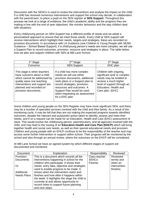Discussion with the SENCo is used to review the interventions and analyse the impact on the child. If a child has received numerous interventions and support the school may decide, in collaboration with the parent/carer, to place a pupil on the SEN register at **SEN Support**. Throughout this process we look at a range of evidence, the child's academic ability and the progress they are making in line with the end of year objectives. We monitor behaviour and the way children deal with situations.

Every child/young person on SEN Support has a different profile of needs and we adopt a personalised approach to ensure that we meet those needs. Every child at SEN support will receive interventions which highlight their needs, targets and strategies, these are recorded on provision documents. In accordance with LA Guidance (see Children & Young People with SEND; Guidance – School Based Support), if a child/young person's needs are more complex, we will use a Support Plan to record outcomes, provision, resource and strategies in place. The table below how we plan and support children with SEN at Mill Lane School.

| 1 <sup>st</sup> Stage                                                                                                                                                                                        | $2nd$ Stage                                                                                                                                                                                                                                                                  | 3 <sup>rd</sup> Stage                                                                                                                                                                  |
|--------------------------------------------------------------------------------------------------------------------------------------------------------------------------------------------------------------|------------------------------------------------------------------------------------------------------------------------------------------------------------------------------------------------------------------------------------------------------------------------------|----------------------------------------------------------------------------------------------------------------------------------------------------------------------------------------|
| Concerns                                                                                                                                                                                                     | <b>SEN Support</b>                                                                                                                                                                                                                                                           | EHC plan                                                                                                                                                                               |
| This stage is when teachers<br>have concerns about a child<br>which cannot be addressed by<br>quality wave one teaching.<br>Interventions and support are<br>planned and recorded on<br>provision documents. | If a child has more complex<br>needs we will use either<br>provision documents, additional<br>neds plans or a Support plan to<br>record strategies, provision,<br>resources and outcomes. A<br>Support Plan would be used<br>when requesting an assessment<br>for a EHC plan | Children with ongoing,<br>significant and/ or complex<br>needs may be entitled to<br>receive a much higher<br>level of support through an<br>Education, Health and<br>Care plan. (EHC) |

Some children and young people on the SEN Register may have more significant SEN, and there may be a number of specialist services involved with the child and their family. As a result of the monitoring cycle, it may be felt that they are not making the expected progress towards identified outcomes, despite the relevant and purposeful action taken to identify, assess and meet their needs, and if so a request can be made for an Education, Health and Care (EHC) assessment of need. This would involve the child/young person, parents/carers, and all agencies involved with the child, and may lead to the issuing of an **Education Health and Care Plan (EHCP)** which will bring together health and social care needs, as well as their special educational needs and provision. Children and young people with an EHCP continue to be the responsibility of the teacher and may access some further intervention or support within school. Their progress will be monitored by the school and also through an annual review, where the outcomes on the EHCP will be considered.

At Mill Lane School we have an agreed system by which different stages of support are documented and monitored.

| <b>Document</b>    | Explanation                                    | Responsibility | Reviewed     |
|--------------------|------------------------------------------------|----------------|--------------|
| Provision          | This is a document which records all the       | Class teacher  | Reviewed     |
| <b>Documents</b>   | interventions happening in school for the      | <b>SENCo</b>   | termly and   |
|                    | children who participate. It shows their       | Parents        | when an      |
| Or                 | needs, entry data, objective and strategies    |                | intervention |
|                    | used to enable progress to be made. It         |                | finishes.    |
| Additional         | shows when the intervention starts and         |                |              |
| <b>Needs Plans</b> | finishes and how often it happens within       |                |              |
|                    | the week. It highlights the stage the child is |                |              |
|                    | currently at and allows opportunity to         |                |              |
|                    | record notes to support future planning        |                |              |
|                    | and next steps.                                |                |              |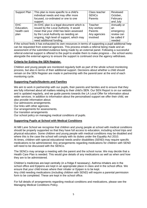| Support Plan | This plan is more specific to a child's<br>individual needs and may offer more | Class teacher<br><b>SENCo</b> | Reviewed<br>October, |
|--------------|--------------------------------------------------------------------------------|-------------------------------|----------------------|
|              | focused, co-ordinated or one to one                                            | Parents                       | February             |
|              | support.                                                                       |                               | and July             |
| <b>EHC</b>   | An EHC plan is a legal document which is                                       | Teacher                       | Annually or          |
| Education,   | issued by the Local Authority. It would                                        | Key worker                    | an                   |
| health care  | mean that your child has been assessed                                         | Parents                       | emergency            |
| plan         | by the Local Authority as needing an                                           | Any agencies                  | review can           |
|              | ongoing, high level of support, which may                                      | involved                      | be called if         |
|              | need additional funding.                                                       |                               | needed               |

If the school feels it has exhausted its own resources in terms of supporting a pupil additional help can be requested from external agencies. This process entails a referral being made and an assessment of the submitted evidence being made by an external panel. Following a successful referral external support is offered to the pupil to enable them to make progress – the school works alongside the external agency to ensure the support is continued once the agency withdraws.

## **Criteria for Exiting the SEN Register.**

Children and young people are monitored regularly both as part of the whole school monitoring process, but also in terms of their additional support. Decisions about whether a child should remain on the SEN Register are made in partnership with the parent/carer at the end of each monitoring cycle.

## **Supporting Pupils/Students and Families**

We aim to work in partnership with our pupils, their parents and families and to ensure that they are fully informed about all matters relating to their child's SEN. Our SEN Report is on our website and is updated regularly, and we guide parents towards the LA Local Offer for information about wider services. In addition to information about the personalised support we offer their child, we also provide information about:

Our admissions arrangements.

Our links with other agencies.

Our arrangements for assessments.

Our transition arrangements

Our school policy on managing medical conditions of pupils.

#### **Supporting Pupils at School with Medical Conditions**

At Mill Lane School we recognise that children and young people at school with medical conditions should be properly supported so that they have full access to education, including school trips and physical education. Some children and young people with medical conditions may be disabled and where this is the case the school will comply with its duties under the Equality Act 2010. At times, children with special educational needs and/or disabilities (SEND) may require specific medications to be administered. Any arrangements regarding medications for children with SEND will need to be discussed with the SENCo.

The SENCo may arrange a meeting with the parent and the school nurse. We may decide that a Health Care Plan is needed. This would give details of any medications as well as when and how they are to be administered.

Children's medicines are kept centrally (in a fridge if necessary). Asthma inhalers are in the school office and Epipens are kept in an appropriate place in class and in the school office. We ensure that your child knows where their inhaler or Epipen is to be kept.

Any child needing medications (including children with SEND) will require a parental permission form to be completed. These are kept in the school office.

For full details of arrangements regarding medical conditions and medications, please see the Managing Medical Conditions Policy.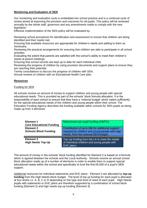## **Monitoring and Evaluation of SEN**

Our monitoring and evaluation cycle is embedded into school practice and is a continual cycle of review aimed at improving the provision and outcomes for all pupils. This policy will be reviewed annually by the whole staff, governors and any amendments made to comply with the new **legislation** 

Effective implementation of the SEN policy will be evaluated by:

Reviewing school procedures for identification and assessment to ensure that children are being identified and their needs met.

Ensuring that available resources are appropriate for children's needs and adding to them as necessary.

Reviewing the practical arrangements for ensuring that children are able to participate in all school activities.

Evaluating the extent that parents are satisfied with the school's ability to meet their children's needs at parent meetings.

Ensuring that school records are kept up to date for each individual child.

Reviewing the progress of children by using provision documents and support plans to ensure they are reaching their potential.

Termly consultations to discuss the progress of children with SEN.

Annual reviews of children with an Educational Health Care plan.

#### **Resources**

#### Funding for SEN

All schools receive an amount of money to support children and young people with special educational needs. This is provided as part of the schools' block formula allocation. It is the responsibility of each school to ensure that they have a 'notional budget' which caters sufficiently for the special educational needs of the children and young people within their school. The Education Funding Agency describes the funding available within schools for SEN pupils as being made up from 3 elements:

| Element 1<br><b>Core Educational Funding</b>     | Mainstream per pupil funding (AWPU)                                                                                                         |
|--------------------------------------------------|---------------------------------------------------------------------------------------------------------------------------------------------|
| <b>Element 2</b><br><b>Schools Block Funding</b> | Contribution of up to £6k for additional support<br>required by children and young people with high<br>needs, from the notional SEN budget. |
| <b>Element 3</b><br><b>High Needs Top Up</b>     | Top Up funding from the LA to meet the needs<br>of individual children and young people with<br>EHC plans.                                  |

The amount of money in the schools' block funding identified for Element 2 is based on a formula which is agreed between the schools and the Local Authority. Schools receive an annual school block allocation made up of a number of elements in order to enable them to support special educational needs within the school and specifically to fund the first £6,000 of a pupil's SEN support.

Additional resources for individual statements and EHC plans - Element 3 are allocated by **top-up funding** from the High Needs block budget. The level of top up funding for each pupil is allocated at four levels i.e. A, B, C or D depending on the type and level of need of each pupil. High Needs pupils with statements or EHC plans are therefore supported by a combination of school block funding (Element 2) and high needs top-up funding (Element 3).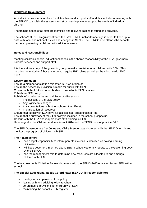## **Workforce Development**

An induction process is in place for all teachers and support staff and this includes a meeting with the SENCO to explain the systems and structures in place to support the needs of individual children.

The training needs of all staff are identified and relevant training is found and provided.

The school's SENCO regularly attends the LA's SENCO network meetings in order to keep up to date with local and national issues and changes in SEND. The SENCO also attends the schools partnership meeting or children with additional needs.

#### **Roles and Responsibilities**

Meeting children's special educational needs is the shared responsibility of the LEA, governors, parents, teachers and support staff.

It is the statutory duty of the governing body to make provision for all children with SEN. This includes the majority of those who do not require EHC plans as well as the minority with EHC plans.

#### **Governors must:**

Ensure a member of staff is designated SEN co-ordinator.

Ensure the necessary provision is made for pupils with SEN.

Consult with the LEA and other bodies to co-ordinate SEN provision.

Publish an SEN policy.

Publish information in the Annual Report to Parents on:

- The success of the SEN policy
- Any significant changes
- Any consultations with other schools, the LEA etc.
- The allocation of resources.

Ensure that pupils with SEN have full access in all areas of school life.

Ensure that a summary of the SEN policy is included in the school prospectus.

Consult with the LEA about appropriate staff training in SEN.

Have regard to the Children and families act 2014 and the SEND code of practice 0-25

The SEN Governors are Cat Jones and Claire Prendergast who meet with the SENCO termly and monitor the progress of children with SEN.

#### **The Headteacher:**

- has a legal responsibility to inform parents if a child is identified as having learning difficulties.
- will keep governors informed about SEN in school via termly reports to the Governing body by the SENCO.
- has the management role to determine how resources are allocated to and amongst children with SEN.

The headteacher is Christine Barlow who meets with the SENCo half termly to discuss SEN within school.

## **The Special Educational Needs Co-ordinator (SENCO) is responsible for:**

- the day to day operation of the policy.
- liaising with and advising fellow teachers.
- co-ordinating provisions for children with SEN.
- maintaining the school's SEN register.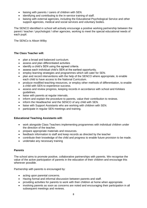- liaising with parents / carers of children with SEN.
- identifying and contributing to the in-service training of staff.
- liaising with external agencies, including the Educational Psychological Service and other support agencies, medical and social services and voluntary bodies.

The SENCO identified in school will actively encourage a positive working partnership between the parent / teacher / psychologist / other agencies, working to meet the special educational needs of each pupil.

The SENCo is Alison Wilby

## **The Class Teacher will:**

- plan a broad and balanced curriculum.
- assess and plan differentiated activities
- identify a child's SEN using the agreed criteria.
- assess each individual child's SEN at the earliest opportunity.
- employ learning strategies and programmes which will cater for SEN.
- plan and record interventions with the help of the SENCO where appropriate, to enable each child to have access to the National Curriculum.
- produce modified teaching resources, or employ other methods of differentiation, to enable a child with SEN to experience success.
- assess and review progress, keeping records in accordance with school and Kirklees guidelines.
- liaise with parents at regular intervals.
- inform and explain the procedure to parents, value their contribution to reviews.
- inform the Headteacher and the SENCO of any child with SEN.
- liaise with Support Assistants who are working with children with SEN.
- participate in regular SEN meetings and training.

#### **Educational Teaching Assistants will:**

- work alongside Class Teachers implementing programmes with individual children under the direction of the teacher.
- prepare appropriate materials and resources.
- feedback information to staff and keep records as directed by the teacher
- contribute their knowledge of the child and progress to enable future provision to be made.
- undertake any necessary training

#### **Parents**

The school aims to promote positive, collaborative partnerships with parents. We recognise the value of the active participation of parents in the education of their children and encourage this wherever possible.

Partnership with parents is encouraged by:

- acting upon parental concerns.
- Having formal and informal discussion between parents and staff.
- providing activities for parents to work with their children at home when appropriate.
- involving parents as soon as concerns are noted and encouraging their participation in all subsequent meetings and reviews.